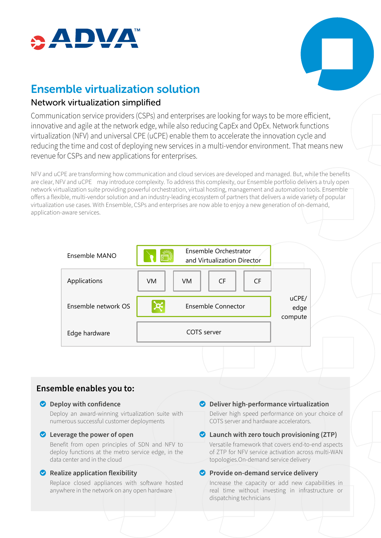



# Ensemble virtualization solution

## Network virtualization simplified

Communication service providers (CSPs) and enterprises are looking for ways to be more efficient, innovative and agile at the network edge, while also reducing CapEx and OpEx. Network functions virtualization (NFV) and universal CPE (uCPE) enable them to accelerate the innovation cycle and reducing the time and cost of deploying new services in a multi-vendor environment. That means new revenue for CSPs and new applications for enterprises.

NFV and uCPE are transforming how communication and cloud services are developed and managed. But, while the benefits are clear, NFV and uCPE may introduce complexity. To address this complexity, our Ensemble portfolio delivers a truly open network virtualization suite providing powerful orchestration, virtual hosting, management and automation tools. Ensemble offers a flexible, multi-vendor solution and an industry-leading ecosystem of partners that delivers a wide variety of popular virtualization use cases. With Ensemble, CSPs and enterprises are now able to enjoy a new generation of on-demand, application-aware services.

| Ensemble MANO       | Ensemble Orchestrator<br>डा<br>and Virtualization Director |     |           |                          |  |
|---------------------|------------------------------------------------------------|-----|-----------|--------------------------|--|
| Applications        | VM.                                                        | VM. | <b>CF</b> | <b>CF</b>                |  |
| Ensemble network OS | <b>Ensemble Connector</b>                                  |     |           | uCPE/<br>edge<br>compute |  |
| Edge hardware       | <b>COTS</b> server                                         |     |           |                          |  |

# **Ensemble enables you to:**

#### **O** Deploy with confidence

Deploy an award-winning virtualization suite with numerous successful customer deployments

#### o **Leverage the power of open**

Benefit from open principles of SDN and NFV to deploy functions at the metro service edge, in the data center and in the cloud

#### o **Realize application flexibility**

Replace closed appliances with software hosted anywhere in the network on any open hardware

o **Deliver high-performance virtualization**

Deliver high speed performance on your choice of COTS server and hardware accelerators.

#### o **Launch with zero touch provisioning (ZTP)**

Versatile framework that covers end-to-end aspects of ZTP for NFV service activation across multi-WAN topologies.On-demand service delivery

### o **Provide on-demand service delivery**

Increase the capacity or add new capabilities in real time without investing in infrastructure or dispatching technicians